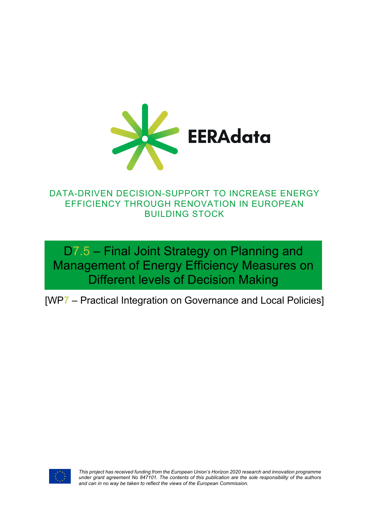

## DATA-DRIVEN DECISION-SUPPORT TO INCREASE ENERGY EFFICIENCY THROUGH RENOVATION IN EUROPEAN BUILDING STOCK

D7.5 – Final Joint Strategy on Planning and Management of Energy Efficiency Measures on Different levels of Decision Making

[WP7 – Practical Integration on Governance and Local Policies]



*This project has received funding from the European Union's Horizon 2020 research and innovation programme under grant agreement No 847101. The contents of this publication are the sole responsibility of the authors and can in no way be taken to reflect the views of the European Commission.*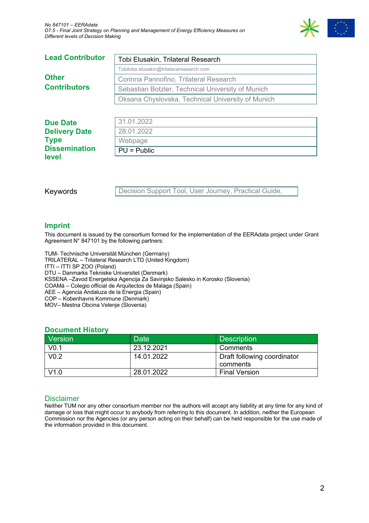

| <b>Lead Contributor</b>             | Tobi Elusakin, Trilateral Research                |  |
|-------------------------------------|---------------------------------------------------|--|
| <b>Other</b><br><b>Contributors</b> | Tobiloba.elusakin@trilateralresearch.com          |  |
|                                     | Corinna Pannofino, Trilateral Research            |  |
|                                     | Sebastian Botzler, Technical University of Munich |  |
|                                     | Oksana Chyslovska, Technical University of Munich |  |
|                                     |                                                   |  |
| <b>Due Date</b>                     | 31.01.2022                                        |  |
| <b>Delivery Date</b>                | 28.01.2022                                        |  |
| <b>Type</b>                         | Webpage                                           |  |
| <b>Dissemination</b>                | $PU = Public$                                     |  |
| level                               |                                                   |  |

Keywords

Decision Support Tool, User Journey, Practical Guide,

#### **Imprint**

This document is issued by the consortium formed for the implementation of the EERAdata project under Grant Agreement N° 847101 by the following partners:

TUM- Technische Universität München (Germany) TRILATERAL – Trilateral Research LTD (United Kingdom) ITTI – ITTI SP ZOO (Poland) DTU – Danmarks Tekniske Universitet (Denmark) KSSENA –Zavod Energetska Agencija Za Savinjsko Salesko in Korosko (Slovenia) COAMá – Colegio official de Arquitectos de Malaga (Spain) AEE – Agencia Andaluza de la Energia (Spain) COP – Kobenhavns Kommune (Denmark) MOV– Mestna Obcina Velenje (Slovenia)

#### **Document History**

| Version          | Date       | <b>Description</b>          |
|------------------|------------|-----------------------------|
| V <sub>0.1</sub> | 23.12.2021 | Comments                    |
| V <sub>0.2</sub> | 14.01.2022 | Draft following coordinator |
|                  |            | comments                    |
| V1.0             | 28.01.2022 | <b>Final Version</b>        |

#### Disclaimer

Neither TUM nor any other consortium member nor the authors will accept any liability at any time for any kind of damage or loss that might occur to anybody from referring to this document. In addition, neither the European Commission nor the Agencies (or any person acting on their behalf) can be held responsible for the use made of the information provided in this document.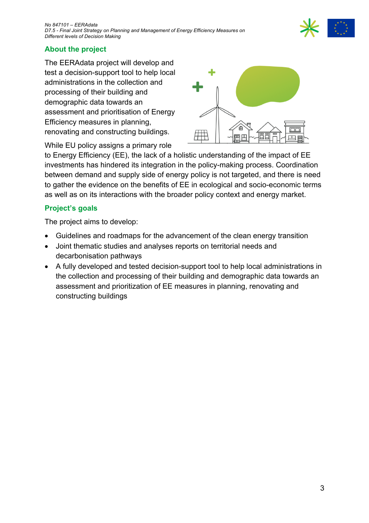

### **About the project**

The EERAdata project will develop and test a decision-support tool to help local administrations in the collection and processing of their building and demographic data towards an assessment and prioritisation of Energy Efficiency measures in planning, renovating and constructing buildings.



While EU policy assigns a primary role

to Energy Efficiency (EE), the lack of a holistic understanding of the impact of EE investments has hindered its integration in the policy-making process. Coordination between demand and supply side of energy policy is not targeted, and there is need to gather the evidence on the benefits of EE in ecological and socio-economic terms as well as on its interactions with the broader policy context and energy market.

### **Project's goals**

The project aims to develop:

- Guidelines and roadmaps for the advancement of the clean energy transition
- Joint thematic studies and analyses reports on territorial needs and decarbonisation pathways
- A fully developed and tested decision-support tool to help local administrations in the collection and processing of their building and demographic data towards an assessment and prioritization of EE measures in planning, renovating and constructing buildings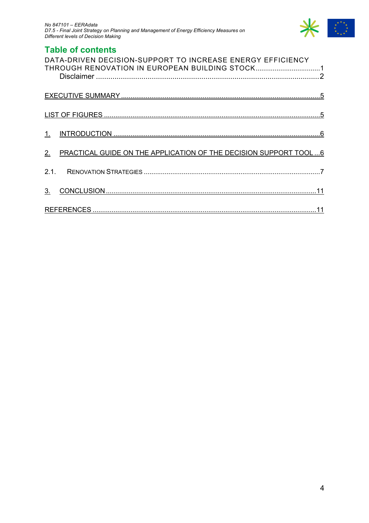

## **Table of contents**

|                | DATA-DRIVEN DECISION-SUPPORT TO INCREASE ENERGY EFFICIENCY<br>THROUGH RENOVATION IN EUROPEAN BUILDING STOCK1 |  |
|----------------|--------------------------------------------------------------------------------------------------------------|--|
|                |                                                                                                              |  |
|                |                                                                                                              |  |
|                |                                                                                                              |  |
| 2.             | PRACTICAL GUIDE ON THE APPLICATION OF THE DECISION SUPPORT TOOL6                                             |  |
|                |                                                                                                              |  |
| 3 <sub>1</sub> |                                                                                                              |  |
|                |                                                                                                              |  |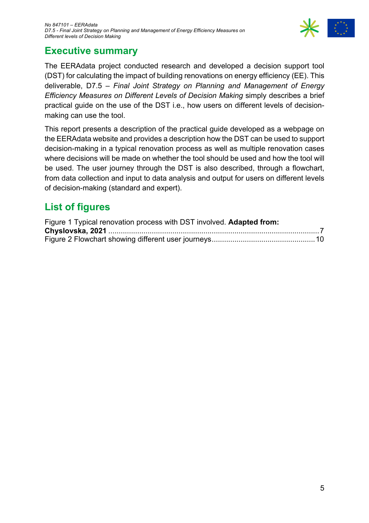

## **Executive summary**

The EERAdata project conducted research and developed a decision support tool (DST) for calculating the impact of building renovations on energy efficiency (EE). This deliverable, D7.5 – *Final Joint Strategy on Planning and Management of Energy Efficiency Measures on Different Levels of Decision Making* simply describes a brief practical guide on the use of the DST i.e., how users on different levels of decisionmaking can use the tool.

This report presents a description of the practical guide developed as a webpage on the EERAdata website and provides a description how the DST can be used to support decision-making in a typical renovation process as well as multiple renovation cases where decisions will be made on whether the tool should be used and how the tool will be used. The user journey through the DST is also described, through a flowchart, from data collection and input to data analysis and output for users on different levels of decision-making (standard and expert).

# **List of figures**

| Figure 1 Typical renovation process with DST involved. Adapted from: |  |
|----------------------------------------------------------------------|--|
|                                                                      |  |
|                                                                      |  |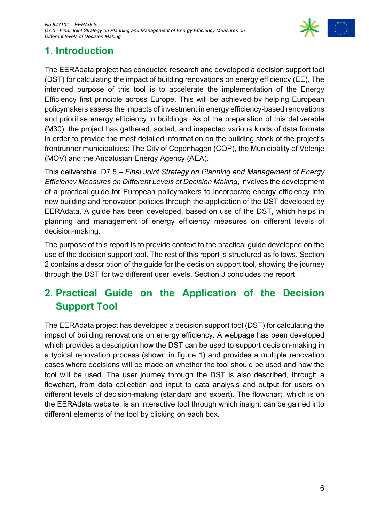

# **1. Introduction**

The EERAdata project has conducted research and developed a decision support tool (DST) for calculating the impact of building renovations on energy efficiency (EE). The intended purpose of this tool is to accelerate the implementation of the Energy Efficiency first principle across Europe. This will be achieved by helping European policymakers assess the impacts of investment in energy efficiency-based renovations and prioritise energy efficiency in buildings. As of the preparation of this deliverable (M30), the project has gathered, sorted, and inspected various kinds of data formats in order to provide the most detailed information on the building stock of the project's frontrunner municipalities: The City of Copenhagen (COP), the Municipality of Velenje (MOV) and the Andalusian Energy Agency (AEA).

This deliverable, D7.5 – *Final Joint Strategy on Planning and Management of Energy Efficiency Measures on Different Levels of Decision Making*, involves the development of a practical guide for European policymakers to incorporate energy efficiency into new building and renovation policies through the application of the DST developed by EERAdata. A guide has been developed, based on use of the DST, which helps in planning and management of energy efficiency measures on different levels of decision-making.

The purpose of this report is to provide context to the practical guide developed on the use of the decision support tool. The rest of this report is structured as follows. Section 2 contains a description of the guide for the decision support tool, showing the journey through the DST for two different user levels. Section 3 concludes the report.

# **2. Practical Guide on the Application of the Decision Support Tool**

The EERAdata project has developed a decision support tool (DST) for calculating the impact of building renovations on energy efficiency. A webpage has been developed which provides a description how the DST can be used to support decision-making in a typical renovation process (shown in figure 1) and provides a multiple renovation cases where decisions will be made on whether the tool should be used and how the tool will be used. The user journey through the DST is also described, through a flowchart, from data collection and input to data analysis and output for users on different levels of decision-making (standard and expert). The flowchart, which is on the EERAdata website, is an interactive tool through which insight can be gained into different elements of the tool by clicking on each box.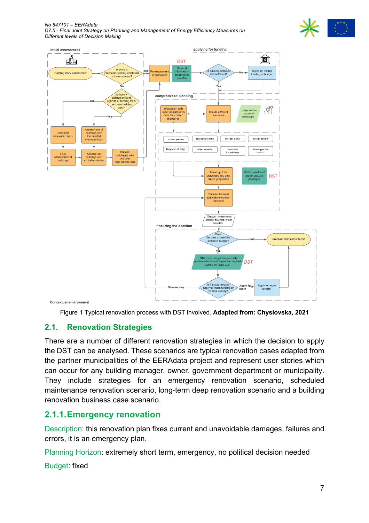*No 847101 – EERAdata D7.5 - Final Joint Strategy on Planning and Management of Energy Efficiency Measures on Different levels of Decision Making*





Figure 1 Typical renovation process with DST involved. **Adapted from: Chyslovska, 2021**

## **2.1. Renovation Strategies**

There are a number of different renovation strategies in which the decision to apply the DST can be analysed. These scenarios are typical renovation cases adapted from the partner municipalities of the EERAdata project and represent user stories which can occur for any building manager, owner, government department or municipality. They include strategies for an emergency renovation scenario, scheduled maintenance renovation scenario, long-term deep renovation scenario and a building renovation business case scenario.

## **2.1.1.Emergency renovation**

Description: this renovation plan fixes current and unavoidable damages, failures and errors, it is an emergency plan.

Planning Horizon: extremely short term, emergency, no political decision needed

Budget: fixed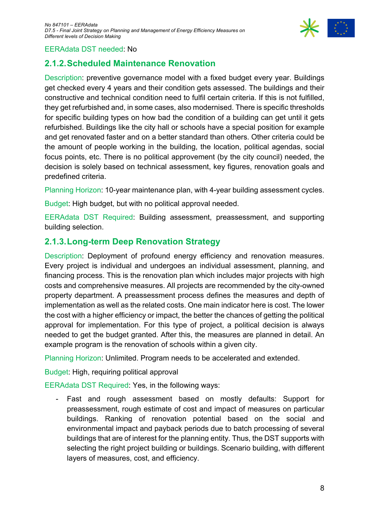

#### EERAdata DST needed: No

### **2.1.2.Scheduled Maintenance Renovation**

Description: preventive governance model with a fixed budget every year. Buildings get checked every 4 years and their condition gets assessed. The buildings and their constructive and technical condition need to fulfil certain criteria. If this is not fulfilled, they get refurbished and, in some cases, also modernised. There is specific thresholds for specific building types on how bad the condition of a building can get until it gets refurbished. Buildings like the city hall or schools have a special position for example and get renovated faster and on a better standard than others. Other criteria could be the amount of people working in the building, the location, political agendas, social focus points, etc. There is no political approvement (by the city council) needed, the decision is solely based on technical assessment, key figures, renovation goals and predefined criteria.

Planning Horizon: 10-year maintenance plan, with 4-year building assessment cycles.

Budget: High budget, but with no political approval needed.

EERAdata DST Required: Building assessment, preassessment, and supporting building selection.

### **2.1.3.Long-term Deep Renovation Strategy**

Description: Deployment of profound energy efficiency and renovation measures. Every project is individual and undergoes an individual assessment, planning, and financing process. This is the renovation plan which includes major projects with high costs and comprehensive measures. All projects are recommended by the city-owned property department. A preassessment process defines the measures and depth of implementation as well as the related costs. One main indicator here is cost. The lower the cost with a higher efficiency or impact, the better the chances of getting the political approval for implementation. For this type of project, a political decision is always needed to get the budget granted. After this, the measures are planned in detail. An example program is the renovation of schools within a given city.

Planning Horizon: Unlimited. Program needs to be accelerated and extended.

Budget: High, requiring political approval

EERAdata DST Required: Yes, in the following ways:

Fast and rough assessment based on mostly defaults: Support for preassessment, rough estimate of cost and impact of measures on particular buildings. Ranking of renovation potential based on the social and environmental impact and payback periods due to batch processing of several buildings that are of interest for the planning entity. Thus, the DST supports with selecting the right project building or buildings. Scenario building, with different layers of measures, cost, and efficiency.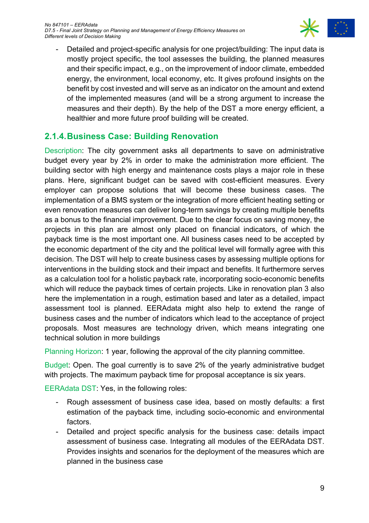

- Detailed and project-specific analysis for one project/building: The input data is mostly project specific, the tool assesses the building, the planned measures and their specific impact, e.g., on the improvement of indoor climate, embedded energy, the environment, local economy, etc. It gives profound insights on the benefit by cost invested and will serve as an indicator on the amount and extend of the implemented measures (and will be a strong argument to increase the measures and their depth). By the help of the DST a more energy efficient, a healthier and more future proof building will be created.

### **2.1.4.Business Case: Building Renovation**

Description: The city government asks all departments to save on administrative budget every year by 2% in order to make the administration more efficient. The building sector with high energy and maintenance costs plays a major role in these plans. Here, significant budget can be saved with cost-efficient measures. Every employer can propose solutions that will become these business cases. The implementation of a BMS system or the integration of more efficient heating setting or even renovation measures can deliver long-term savings by creating multiple benefits as a bonus to the financial improvement. Due to the clear focus on saving money, the projects in this plan are almost only placed on financial indicators, of which the payback time is the most important one. All business cases need to be accepted by the economic department of the city and the political level will formally agree with this decision. The DST will help to create business cases by assessing multiple options for interventions in the building stock and their impact and benefits. It furthermore serves as a calculation tool for a holistic payback rate, incorporating socio-economic benefits which will reduce the payback times of certain projects. Like in renovation plan 3 also here the implementation in a rough, estimation based and later as a detailed, impact assessment tool is planned. EERAdata might also help to extend the range of business cases and the number of indicators which lead to the acceptance of project proposals. Most measures are technology driven, which means integrating one technical solution in more buildings

Planning Horizon: 1 year, following the approval of the city planning committee.

Budget: Open. The goal currently is to save 2% of the yearly administrative budget with projects. The maximum payback time for proposal acceptance is six years.

EERAdata DST: Yes, in the following roles:

- Rough assessment of business case idea, based on mostly defaults: a first estimation of the payback time, including socio-economic and environmental factors.
- Detailed and project specific analysis for the business case: details impact assessment of business case. Integrating all modules of the EERAdata DST. Provides insights and scenarios for the deployment of the measures which are planned in the business case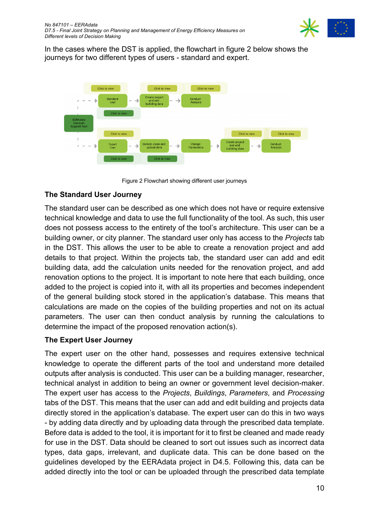

In the cases where the DST is applied, the flowchart in figure 2 below shows the journeys for two different types of users - standard and expert.



Figure 2 Flowchart showing different user journeys

#### **The Standard User Journey**

The standard user can be described as one which does not have or require extensive technical knowledge and data to use the full functionality of the tool. As such, this user does not possess access to the entirety of the tool's architecture. This user can be a building owner, or city planner. The standard user only has access to the *Projects* tab in the DST. This allows the user to be able to create a renovation project and add details to that project. Within the projects tab, the standard user can add and edit building data, add the calculation units needed for the renovation project, and add renovation options to the project. It is important to note here that each building, once added to the project is copied into it, with all its properties and becomes independent of the general building stock stored in the application's database. This means that calculations are made on the copies of the building properties and not on its actual parameters. The user can then conduct analysis by running the calculations to determine the impact of the proposed renovation action(s).

#### **The Expert User Journey**

The expert user on the other hand, possesses and requires extensive technical knowledge to operate the different parts of the tool and understand more detailed outputs after analysis is conducted. This user can be a building manager, researcher, technical analyst in addition to being an owner or government level decision-maker. The expert user has access to the *Projects*, *Buildings*, *Parameters*, and *Processing* tabs of the DST. This means that the user can add and edit building and projects data directly stored in the application's database. The expert user can do this in two ways - by adding data directly and by uploading data through the prescribed data template. Before data is added to the tool, it is important for it to first be cleaned and made ready for use in the DST. Data should be cleaned to sort out issues such as incorrect data types, data gaps, irrelevant, and duplicate data. This can be done based on the guidelines developed by the EERAdata project in D4.5. Following this, data can be added directly into the tool or can be uploaded through the prescribed data template